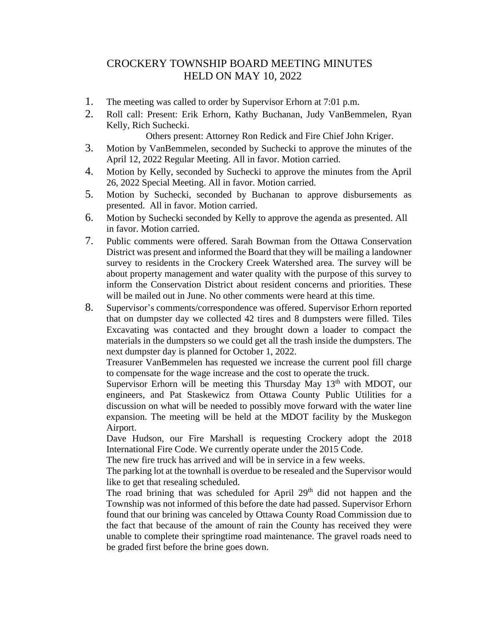## CROCKERY TOWNSHIP BOARD MEETING MINUTES HELD ON MAY 10, 2022

- 1. The meeting was called to order by Supervisor Erhorn at 7:01 p.m.
- 2. Roll call: Present: Erik Erhorn, Kathy Buchanan, Judy VanBemmelen, Ryan Kelly, Rich Suchecki.

Others present: Attorney Ron Redick and Fire Chief John Kriger.

- 3. Motion by VanBemmelen, seconded by Suchecki to approve the minutes of the April 12, 2022 Regular Meeting. All in favor. Motion carried.
- 4. Motion by Kelly, seconded by Suchecki to approve the minutes from the April 26, 2022 Special Meeting. All in favor. Motion carried.
- 5. Motion by Suchecki, seconded by Buchanan to approve disbursements as presented. All in favor. Motion carried.
- 6. Motion by Suchecki seconded by Kelly to approve the agenda as presented. All in favor. Motion carried.
- 7. Public comments were offered. Sarah Bowman from the Ottawa Conservation District was present and informed the Board that they will be mailing a landowner survey to residents in the Crockery Creek Watershed area. The survey will be about property management and water quality with the purpose of this survey to inform the Conservation District about resident concerns and priorities. These will be mailed out in June. No other comments were heard at this time.
- 8. Supervisor's comments/correspondence was offered. Supervisor Erhorn reported that on dumpster day we collected 42 tires and 8 dumpsters were filled. Tiles Excavating was contacted and they brought down a loader to compact the materials in the dumpsters so we could get all the trash inside the dumpsters. The next dumpster day is planned for October 1, 2022.

Treasurer VanBemmelen has requested we increase the current pool fill charge to compensate for the wage increase and the cost to operate the truck.

Supervisor Erhorn will be meeting this Thursday May  $13<sup>th</sup>$  with MDOT, our engineers, and Pat Staskewicz from Ottawa County Public Utilities for a discussion on what will be needed to possibly move forward with the water line expansion. The meeting will be held at the MDOT facility by the Muskegon Airport.

Dave Hudson, our Fire Marshall is requesting Crockery adopt the 2018 International Fire Code. We currently operate under the 2015 Code.

The new fire truck has arrived and will be in service in a few weeks.

The parking lot at the townhall is overdue to be resealed and the Supervisor would like to get that resealing scheduled.

The road brining that was scheduled for April 29<sup>th</sup> did not happen and the Township was not informed of this before the date had passed. Supervisor Erhorn found that our brining was canceled by Ottawa County Road Commission due to the fact that because of the amount of rain the County has received they were unable to complete their springtime road maintenance. The gravel roads need to be graded first before the brine goes down.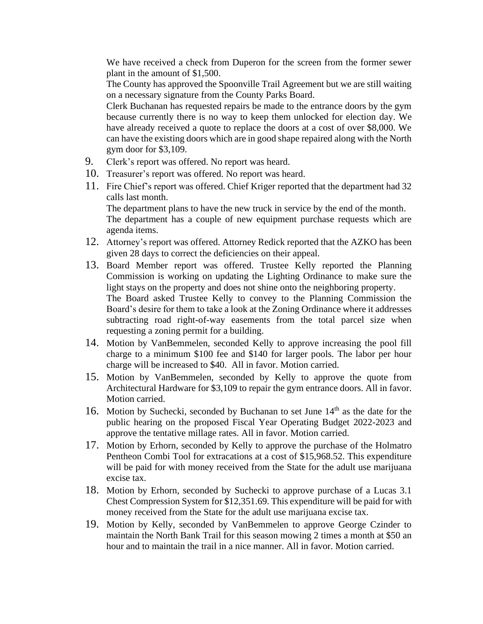We have received a check from Duperon for the screen from the former sewer plant in the amount of \$1,500.

The County has approved the Spoonville Trail Agreement but we are still waiting on a necessary signature from the County Parks Board.

Clerk Buchanan has requested repairs be made to the entrance doors by the gym because currently there is no way to keep them unlocked for election day. We have already received a quote to replace the doors at a cost of over \$8,000. We can have the existing doors which are in good shape repaired along with the North gym door for \$3,109.

- 9. Clerk's report was offered. No report was heard.
- 10. Treasurer's report was offered. No report was heard.
- 11. Fire Chief's report was offered. Chief Kriger reported that the department had 32 calls last month.

The department plans to have the new truck in service by the end of the month. The department has a couple of new equipment purchase requests which are agenda items.

- 12. Attorney's report was offered. Attorney Redick reported that the AZKO has been given 28 days to correct the deficiencies on their appeal.
- 13. Board Member report was offered. Trustee Kelly reported the Planning Commission is working on updating the Lighting Ordinance to make sure the light stays on the property and does not shine onto the neighboring property. The Board asked Trustee Kelly to convey to the Planning Commission the Board's desire for them to take a look at the Zoning Ordinance where it addresses subtracting road right-of-way easements from the total parcel size when requesting a zoning permit for a building.
- 14. Motion by VanBemmelen, seconded Kelly to approve increasing the pool fill charge to a minimum \$100 fee and \$140 for larger pools. The labor per hour charge will be increased to \$40. All in favor. Motion carried.
- 15. Motion by VanBemmelen, seconded by Kelly to approve the quote from Architectural Hardware for \$3,109 to repair the gym entrance doors. All in favor. Motion carried.
- 16. Motion by Suchecki, seconded by Buchanan to set June 14<sup>th</sup> as the date for the public hearing on the proposed Fiscal Year Operating Budget 2022-2023 and approve the tentative millage rates. All in favor. Motion carried.
- 17. Motion by Erhorn, seconded by Kelly to approve the purchase of the Holmatro Pentheon Combi Tool for extracations at a cost of \$15,968.52. This expenditure will be paid for with money received from the State for the adult use marijuana excise tax.
- 18. Motion by Erhorn, seconded by Suchecki to approve purchase of a Lucas 3.1 Chest Compression System for \$12,351.69. This expenditure will be paid for with money received from the State for the adult use marijuana excise tax.
- 19. Motion by Kelly, seconded by VanBemmelen to approve George Czinder to maintain the North Bank Trail for this season mowing 2 times a month at \$50 an hour and to maintain the trail in a nice manner. All in favor. Motion carried.